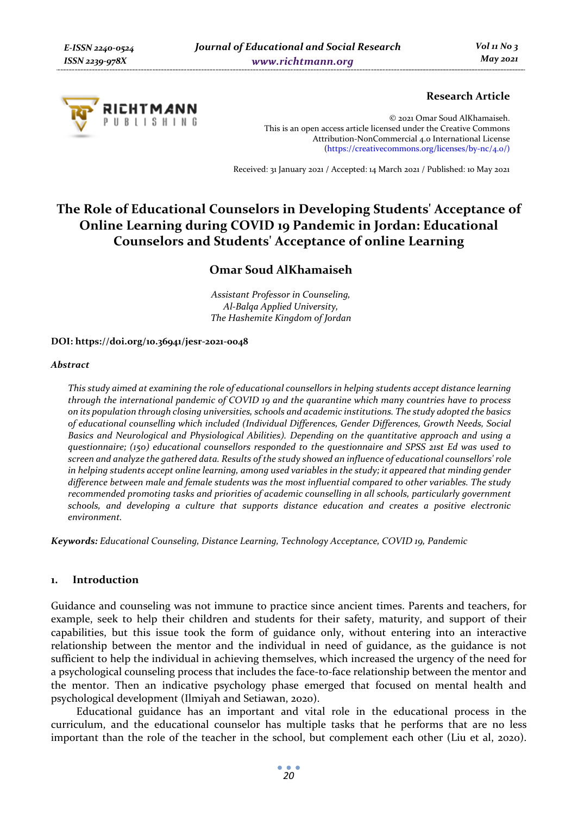

# **Research Article**

© 2021 Omar Soud AlKhamaiseh. This is an open access article licensed under the Creative Commons Attribution-NonCommercial 4.0 International License (https://creativecommons.org/licenses/by-nc/4.0/)

Received: 31 January 2021 / Accepted: 14 March 2021 / Published: 10 May 2021

# **The Role of Educational Counselors in Developing Students' Acceptance of Online Learning during COVID 19 Pandemic in Jordan: Educational Counselors and Students' Acceptance of online Learning**

# **Omar Soud AlKhamaiseh**

*Assistant Professor in Counseling, Al-Balqa Applied University, The Hashemite Kingdom of Jordan* 

### **DOI: https://doi.org/10.36941/jesr-2021-0048**

#### *Abstract*

*This study aimed at examining the role of educational counsellors in helping students accept distance learning through the international pandemic of COVID 19 and the quarantine which many countries have to process on its population through closing universities, schools and academic institutions. The study adopted the basics of educational counselling which included (Individual Differences, Gender Differences, Growth Needs, Social Basics and Neurological and Physiological Abilities). Depending on the quantitative approach and using a questionnaire; (150) educational counsellors responded to the questionnaire and SPSS 21st Ed was used to screen and analyze the gathered data. Results of the study showed an influence of educational counsellors' role in helping students accept online learning, among used variables in the study; it appeared that minding gender difference between male and female students was the most influential compared to other variables. The study recommended promoting tasks and priorities of academic counselling in all schools, particularly government schools, and developing a culture that supports distance education and creates a positive electronic environment.* 

*Keywords: Educational Counseling, Distance Learning, Technology Acceptance, COVID 19, Pandemic* 

### **1. Introduction**

Guidance and counseling was not immune to practice since ancient times. Parents and teachers, for example, seek to help their children and students for their safety, maturity, and support of their capabilities, but this issue took the form of guidance only, without entering into an interactive relationship between the mentor and the individual in need of guidance, as the guidance is not sufficient to help the individual in achieving themselves, which increased the urgency of the need for a psychological counseling process that includes the face-to-face relationship between the mentor and the mentor. Then an indicative psychology phase emerged that focused on mental health and psychological development (Ilmiyah and Setiawan, 2020).

Educational guidance has an important and vital role in the educational process in the curriculum, and the educational counselor has multiple tasks that he performs that are no less important than the role of the teacher in the school, but complement each other (Liu et al, 2020).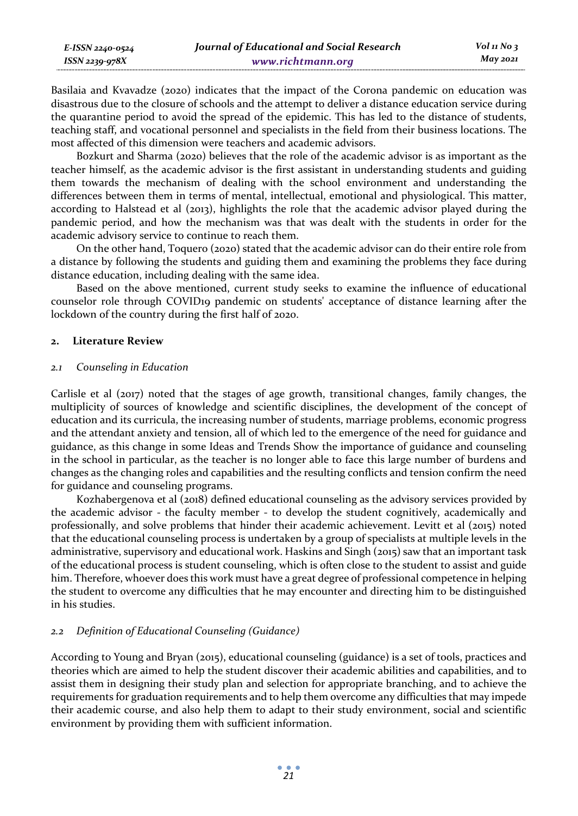| Journal of Educational and Social Research<br>E-ISSN 2240-0524 |                   |          |
|----------------------------------------------------------------|-------------------|----------|
| ISSN 2239-978X                                                 | www.richtmann.org | May 2021 |

Basilaia and Kvavadze (2020) indicates that the impact of the Corona pandemic on education was disastrous due to the closure of schools and the attempt to deliver a distance education service during the quarantine period to avoid the spread of the epidemic. This has led to the distance of students, teaching staff, and vocational personnel and specialists in the field from their business locations. The most affected of this dimension were teachers and academic advisors.

Bozkurt and Sharma (2020) believes that the role of the academic advisor is as important as the teacher himself, as the academic advisor is the first assistant in understanding students and guiding them towards the mechanism of dealing with the school environment and understanding the differences between them in terms of mental, intellectual, emotional and physiological. This matter, according to Halstead et al (2013), highlights the role that the academic advisor played during the pandemic period, and how the mechanism was that was dealt with the students in order for the academic advisory service to continue to reach them.

On the other hand, Toquero (2020) stated that the academic advisor can do their entire role from a distance by following the students and guiding them and examining the problems they face during distance education, including dealing with the same idea.

Based on the above mentioned, current study seeks to examine the influence of educational counselor role through COVID19 pandemic on students' acceptance of distance learning after the lockdown of the country during the first half of 2020.

### **2. Literature Review**

### *2.1 Counseling in Education*

Carlisle et al (2017) noted that the stages of age growth, transitional changes, family changes, the multiplicity of sources of knowledge and scientific disciplines, the development of the concept of education and its curricula, the increasing number of students, marriage problems, economic progress and the attendant anxiety and tension, all of which led to the emergence of the need for guidance and guidance, as this change in some Ideas and Trends Show the importance of guidance and counseling in the school in particular, as the teacher is no longer able to face this large number of burdens and changes as the changing roles and capabilities and the resulting conflicts and tension confirm the need for guidance and counseling programs.

Kozhabergenova et al (2018) defined educational counseling as the advisory services provided by the academic advisor - the faculty member - to develop the student cognitively, academically and professionally, and solve problems that hinder their academic achievement. Levitt et al (2015) noted that the educational counseling process is undertaken by a group of specialists at multiple levels in the administrative, supervisory and educational work. Haskins and Singh (2015) saw that an important task of the educational process is student counseling, which is often close to the student to assist and guide him. Therefore, whoever does this work must have a great degree of professional competence in helping the student to overcome any difficulties that he may encounter and directing him to be distinguished in his studies.

# *2.2 Definition of Educational Counseling (Guidance)*

According to Young and Bryan (2015), educational counseling (guidance) is a set of tools, practices and theories which are aimed to help the student discover their academic abilities and capabilities, and to assist them in designing their study plan and selection for appropriate branching, and to achieve the requirements for graduation requirements and to help them overcome any difficulties that may impede their academic course, and also help them to adapt to their study environment, social and scientific environment by providing them with sufficient information.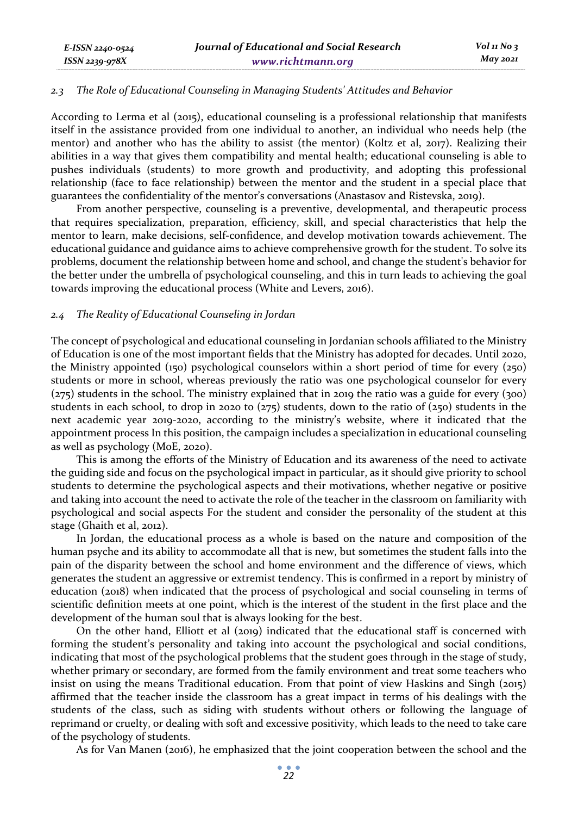### *2.3 The Role of Educational Counseling in Managing Students' Attitudes and Behavior*

According to Lerma et al (2015), educational counseling is a professional relationship that manifests itself in the assistance provided from one individual to another, an individual who needs help (the mentor) and another who has the ability to assist (the mentor) (Koltz et al, 2017). Realizing their abilities in a way that gives them compatibility and mental health; educational counseling is able to pushes individuals (students) to more growth and productivity, and adopting this professional relationship (face to face relationship) between the mentor and the student in a special place that guarantees the confidentiality of the mentor's conversations (Anastasov and Ristevska, 2019).

From another perspective, counseling is a preventive, developmental, and therapeutic process that requires specialization, preparation, efficiency, skill, and special characteristics that help the mentor to learn, make decisions, self-confidence, and develop motivation towards achievement. The educational guidance and guidance aims to achieve comprehensive growth for the student. To solve its problems, document the relationship between home and school, and change the student's behavior for the better under the umbrella of psychological counseling, and this in turn leads to achieving the goal towards improving the educational process (White and Levers, 2016).

#### *2.4 The Reality of Educational Counseling in Jordan*

*E-ISSN 2240-0524 ISSN 2239-978X*

The concept of psychological and educational counseling in Jordanian schools affiliated to the Ministry of Education is one of the most important fields that the Ministry has adopted for decades. Until 2020, the Ministry appointed (150) psychological counselors within a short period of time for every  $(250)$ students or more in school, whereas previously the ratio was one psychological counselor for every (275) students in the school. The ministry explained that in 2019 the ratio was a guide for every (300) students in each school, to drop in 2020 to  $(275)$  students, down to the ratio of  $(250)$  students in the next academic year 2019-2020, according to the ministry's website, where it indicated that the appointment process In this position, the campaign includes a specialization in educational counseling as well as psychology (MoE, 2020).

This is among the efforts of the Ministry of Education and its awareness of the need to activate the guiding side and focus on the psychological impact in particular, as it should give priority to school students to determine the psychological aspects and their motivations, whether negative or positive and taking into account the need to activate the role of the teacher in the classroom on familiarity with psychological and social aspects For the student and consider the personality of the student at this stage (Ghaith et al, 2012).

In Jordan, the educational process as a whole is based on the nature and composition of the human psyche and its ability to accommodate all that is new, but sometimes the student falls into the pain of the disparity between the school and home environment and the difference of views, which generates the student an aggressive or extremist tendency. This is confirmed in a report by ministry of education (2018) when indicated that the process of psychological and social counseling in terms of scientific definition meets at one point, which is the interest of the student in the first place and the development of the human soul that is always looking for the best.

On the other hand, Elliott et al (2019) indicated that the educational staff is concerned with forming the student's personality and taking into account the psychological and social conditions, indicating that most of the psychological problems that the student goes through in the stage of study, whether primary or secondary, are formed from the family environment and treat some teachers who insist on using the means Traditional education. From that point of view Haskins and Singh (2015) affirmed that the teacher inside the classroom has a great impact in terms of his dealings with the students of the class, such as siding with students without others or following the language of reprimand or cruelty, or dealing with soft and excessive positivity, which leads to the need to take care of the psychology of students.

As for Van Manen (2016), he emphasized that the joint cooperation between the school and the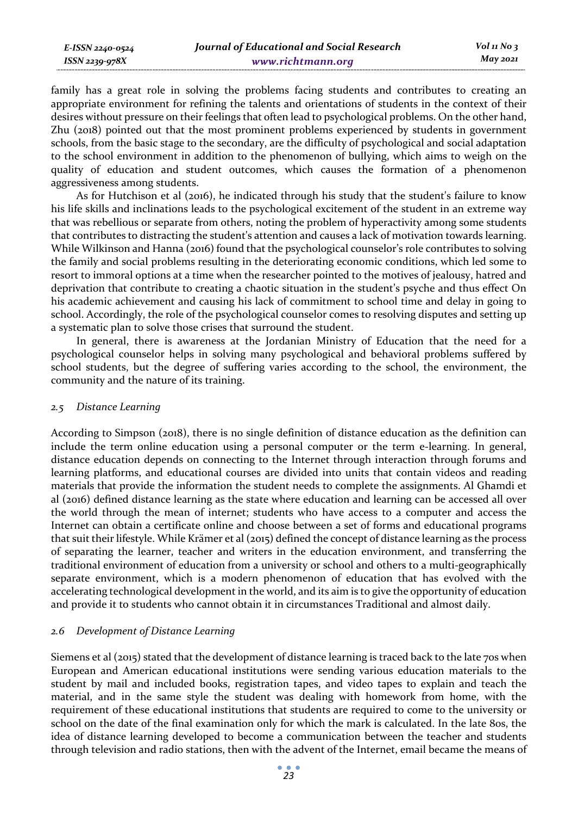family has a great role in solving the problems facing students and contributes to creating an appropriate environment for refining the talents and orientations of students in the context of their desires without pressure on their feelings that often lead to psychological problems. On the other hand, Zhu (2018) pointed out that the most prominent problems experienced by students in government schools, from the basic stage to the secondary, are the difficulty of psychological and social adaptation to the school environment in addition to the phenomenon of bullying, which aims to weigh on the quality of education and student outcomes, which causes the formation of a phenomenon aggressiveness among students.

As for Hutchison et al (2016), he indicated through his study that the student's failure to know his life skills and inclinations leads to the psychological excitement of the student in an extreme way that was rebellious or separate from others, noting the problem of hyperactivity among some students that contributes to distracting the student's attention and causes a lack of motivation towards learning. While Wilkinson and Hanna (2016) found that the psychological counselor's role contributes to solving the family and social problems resulting in the deteriorating economic conditions, which led some to resort to immoral options at a time when the researcher pointed to the motives of jealousy, hatred and deprivation that contribute to creating a chaotic situation in the student's psyche and thus effect On his academic achievement and causing his lack of commitment to school time and delay in going to school. Accordingly, the role of the psychological counselor comes to resolving disputes and setting up a systematic plan to solve those crises that surround the student.

In general, there is awareness at the Jordanian Ministry of Education that the need for a psychological counselor helps in solving many psychological and behavioral problems suffered by school students, but the degree of suffering varies according to the school, the environment, the community and the nature of its training.

### *2.5 Distance Learning*

*ISSN 2239-978X*

According to Simpson (2018), there is no single definition of distance education as the definition can include the term online education using a personal computer or the term e-learning. In general, distance education depends on connecting to the Internet through interaction through forums and learning platforms, and educational courses are divided into units that contain videos and reading materials that provide the information the student needs to complete the assignments. Al Ghamdi et al (2016) defined distance learning as the state where education and learning can be accessed all over the world through the mean of internet; students who have access to a computer and access the Internet can obtain a certificate online and choose between a set of forms and educational programs that suit their lifestyle. While Krämer et al (2015) defined the concept of distance learning as the process of separating the learner, teacher and writers in the education environment, and transferring the traditional environment of education from a university or school and others to a multi-geographically separate environment, which is a modern phenomenon of education that has evolved with the accelerating technological development in the world, and its aim is to give the opportunity of education and provide it to students who cannot obtain it in circumstances Traditional and almost daily.

# *2.6 Development of Distance Learning*

Siemens et al (2015) stated that the development of distance learning is traced back to the late 70s when European and American educational institutions were sending various education materials to the student by mail and included books, registration tapes, and video tapes to explain and teach the material, and in the same style the student was dealing with homework from home, with the requirement of these educational institutions that students are required to come to the university or school on the date of the final examination only for which the mark is calculated. In the late 80s, the idea of distance learning developed to become a communication between the teacher and students through television and radio stations, then with the advent of the Internet, email became the means of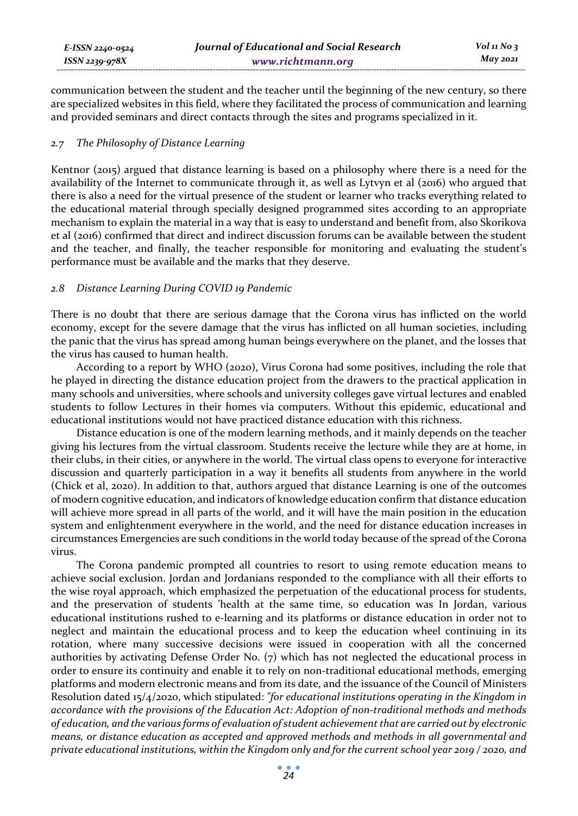communication between the student and the teacher until the beginning of the new century, so there are specialized websites in this field, where they facilitated the process of communication and learning and provided seminars and direct contacts through the sites and programs specialized in it.

### *2.7 The Philosophy of Distance Learning*

Kentnor (2015) argued that distance learning is based on a philosophy where there is a need for the availability of the Internet to communicate through it, as well as Lytvyn et al (2016) who argued that there is also a need for the virtual presence of the student or learner who tracks everything related to the educational material through specially designed programmed sites according to an appropriate mechanism to explain the material in a way that is easy to understand and benefit from, also Skorikova et al (2016) confirmed that direct and indirect discussion forums can be available between the student and the teacher, and finally, the teacher responsible for monitoring and evaluating the student's performance must be available and the marks that they deserve.

### *2.8 Distance Learning During COVID 19 Pandemic*

There is no doubt that there are serious damage that the Corona virus has inflicted on the world economy, except for the severe damage that the virus has inflicted on all human societies, including the panic that the virus has spread among human beings everywhere on the planet, and the losses that the virus has caused to human health.

According to a report by WHO (2020), Virus Corona had some positives, including the role that he played in directing the distance education project from the drawers to the practical application in many schools and universities, where schools and university colleges gave virtual lectures and enabled students to follow Lectures in their homes via computers. Without this epidemic, educational and educational institutions would not have practiced distance education with this richness.

Distance education is one of the modern learning methods, and it mainly depends on the teacher giving his lectures from the virtual classroom. Students receive the lecture while they are at home, in their clubs, in their cities, or anywhere in the world. The virtual class opens to everyone for interactive discussion and quarterly participation in a way it benefits all students from anywhere in the world (Chick et al, 2020). In addition to that, authors argued that distance Learning is one of the outcomes of modern cognitive education, and indicators of knowledge education confirm that distance education will achieve more spread in all parts of the world, and it will have the main position in the education system and enlightenment everywhere in the world, and the need for distance education increases in circumstances Emergencies are such conditions in the world today because of the spread of the Corona virus.

The Corona pandemic prompted all countries to resort to using remote education means to achieve social exclusion. Jordan and Jordanians responded to the compliance with all their efforts to the wise royal approach, which emphasized the perpetuation of the educational process for students, and the preservation of students 'health at the same time, so education was In Jordan, various educational institutions rushed to e-learning and its platforms or distance education in order not to neglect and maintain the educational process and to keep the education wheel continuing in its rotation, where many successive decisions were issued in cooperation with all the concerned authorities by activating Defense Order No. (7) which has not neglected the educational process in order to ensure its continuity and enable it to rely on non-traditional educational methods, emerging platforms and modern electronic means and from its date, and the issuance of the Council of Ministers Resolution dated 15/4/2020, which stipulated: *"for educational institutions operating in the Kingdom in accordance with the provisions of the Education Act: Adoption of non-traditional methods and methods of education, and the various forms of evaluation of student achievement that are carried out by electronic means, or distance education as accepted and approved methods and methods in all governmental and private educational institutions, within the Kingdom only and for the current school year 2019 / 2020, and*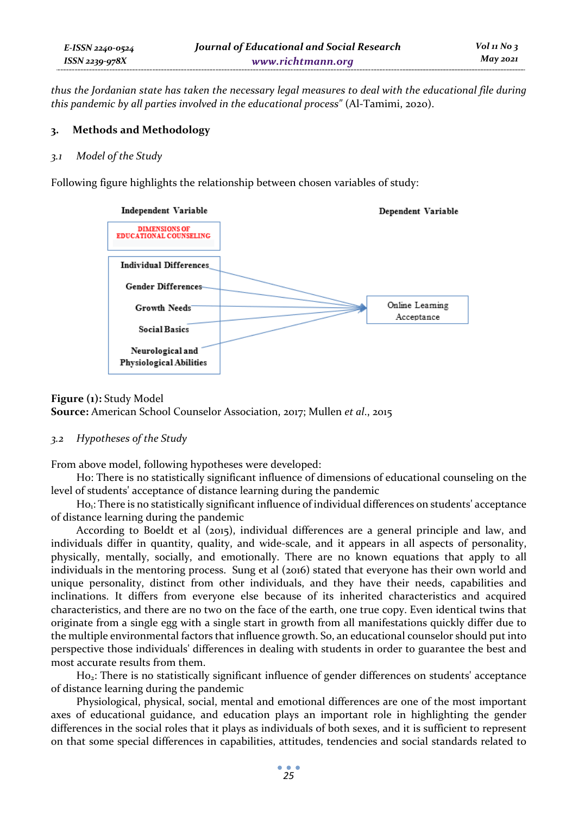*thus the Jordanian state has taken the necessary legal measures to deal with the educational file during this pandemic by all parties involved in the educational process"* (Al-Tamimi, 2020).

# **3. Methods and Methodology**

### *3.1 Model of the Study*

Following figure highlights the relationship between chosen variables of study:



# **Figure (1): Study Model Source:** American School Counselor Association, 2017; Mullen *et al*., 2015

# *3.2 Hypotheses of the Study*

From above model, following hypotheses were developed:

H0: There is no statistically significant influence of dimensions of educational counseling on the level of students' acceptance of distance learning during the pandemic

Ho<sub>1</sub>: There is no statistically significant influence of individual differences on students' acceptance of distance learning during the pandemic

According to Boeldt et al (2015), individual differences are a general principle and law, and individuals differ in quantity, quality, and wide-scale, and it appears in all aspects of personality, physically, mentally, socially, and emotionally. There are no known equations that apply to all individuals in the mentoring process. Sung et al (2016) stated that everyone has their own world and unique personality, distinct from other individuals, and they have their needs, capabilities and inclinations. It differs from everyone else because of its inherited characteristics and acquired characteristics, and there are no two on the face of the earth, one true copy. Even identical twins that originate from a single egg with a single start in growth from all manifestations quickly differ due to the multiple environmental factors that influence growth. So, an educational counselor should put into perspective those individuals' differences in dealing with students in order to guarantee the best and most accurate results from them.

H02: There is no statistically significant influence of gender differences on students' acceptance of distance learning during the pandemic

Physiological, physical, social, mental and emotional differences are one of the most important axes of educational guidance, and education plays an important role in highlighting the gender differences in the social roles that it plays as individuals of both sexes, and it is sufficient to represent on that some special differences in capabilities, attitudes, tendencies and social standards related to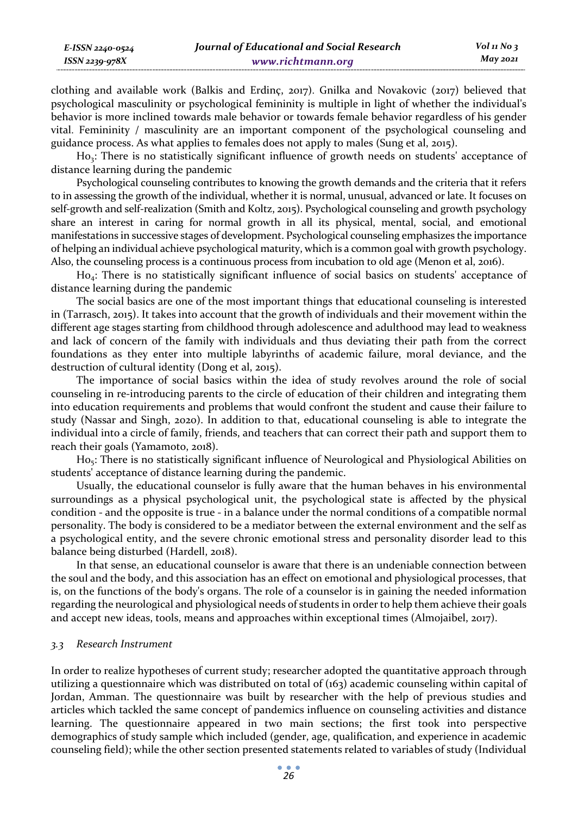clothing and available work (Balkis and Erdinç, 2017). Gnilka and Novakovic (2017) believed that psychological masculinity or psychological femininity is multiple in light of whether the individual's behavior is more inclined towards male behavior or towards female behavior regardless of his gender vital. Femininity / masculinity are an important component of the psychological counseling and guidance process. As what applies to females does not apply to males (Sung et al, 2015).

Ho<sub>3</sub>: There is no statistically significant influence of growth needs on students' acceptance of distance learning during the pandemic

Psychological counseling contributes to knowing the growth demands and the criteria that it refers to in assessing the growth of the individual, whether it is normal, unusual, advanced or late. It focuses on self-growth and self-realization (Smith and Koltz, 2015). Psychological counseling and growth psychology share an interest in caring for normal growth in all its physical, mental, social, and emotional manifestations in successive stages of development. Psychological counseling emphasizes the importance of helping an individual achieve psychological maturity, which is a common goal with growth psychology. Also, the counseling process is a continuous process from incubation to old age (Menon et al, 2016).

Ho<sub>4</sub>: There is no statistically significant influence of social basics on students' acceptance of distance learning during the pandemic

The social basics are one of the most important things that educational counseling is interested in (Tarrasch, 2015). It takes into account that the growth of individuals and their movement within the different age stages starting from childhood through adolescence and adulthood may lead to weakness and lack of concern of the family with individuals and thus deviating their path from the correct foundations as they enter into multiple labyrinths of academic failure, moral deviance, and the destruction of cultural identity (Dong et al, 2015).

The importance of social basics within the idea of study revolves around the role of social counseling in re-introducing parents to the circle of education of their children and integrating them into education requirements and problems that would confront the student and cause their failure to study (Nassar and Singh, 2020). In addition to that, educational counseling is able to integrate the individual into a circle of family, friends, and teachers that can correct their path and support them to reach their goals (Yamamoto, 2018).

Ho<sub>5</sub>: There is no statistically significant influence of Neurological and Physiological Abilities on students' acceptance of distance learning during the pandemic.

Usually, the educational counselor is fully aware that the human behaves in his environmental surroundings as a physical psychological unit, the psychological state is affected by the physical condition - and the opposite is true - in a balance under the normal conditions of a compatible normal personality. The body is considered to be a mediator between the external environment and the self as a psychological entity, and the severe chronic emotional stress and personality disorder lead to this balance being disturbed (Hardell, 2018).

In that sense, an educational counselor is aware that there is an undeniable connection between the soul and the body, and this association has an effect on emotional and physiological processes, that is, on the functions of the body's organs. The role of a counselor is in gaining the needed information regarding the neurological and physiological needs of students in order to help them achieve their goals and accept new ideas, tools, means and approaches within exceptional times (Almojaibel, 2017).

### *3.3 Research Instrument*

*E-ISSN 2240-0524 ISSN 2239-978X*

In order to realize hypotheses of current study; researcher adopted the quantitative approach through utilizing a questionnaire which was distributed on total of (163) academic counseling within capital of Jordan, Amman. The questionnaire was built by researcher with the help of previous studies and articles which tackled the same concept of pandemics influence on counseling activities and distance learning. The questionnaire appeared in two main sections; the first took into perspective demographics of study sample which included (gender, age, qualification, and experience in academic counseling field); while the other section presented statements related to variables of study (Individual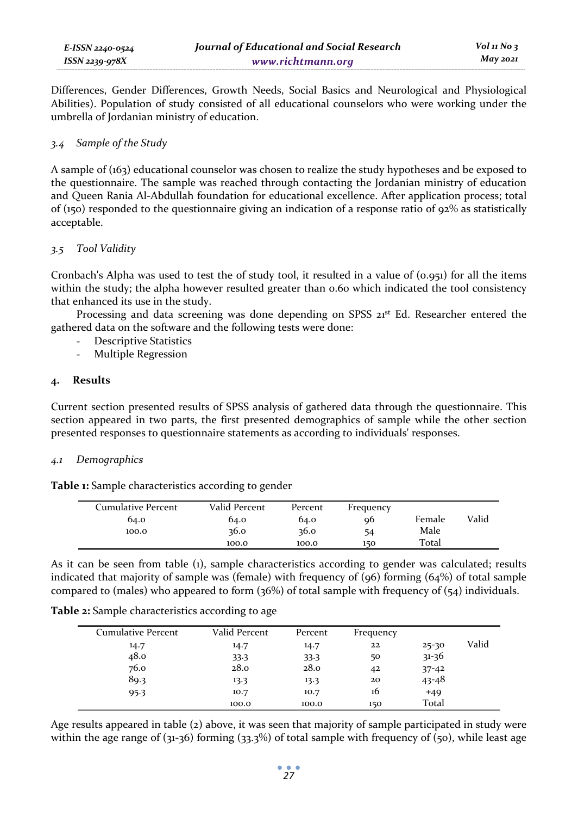Differences, Gender Differences, Growth Needs, Social Basics and Neurological and Physiological Abilities). Population of study consisted of all educational counselors who were working under the umbrella of Jordanian ministry of education.

### *3.4 Sample of the Study*

A sample of (163) educational counselor was chosen to realize the study hypotheses and be exposed to the questionnaire. The sample was reached through contacting the Jordanian ministry of education and Queen Rania Al-Abdullah foundation for educational excellence. After application process; total of (150) responded to the questionnaire giving an indication of a response ratio of  $92\%$  as statistically acceptable.

# *3.5 Tool Validity*

Cronbach's Alpha was used to test the of study tool, it resulted in a value of (0.951) for all the items within the study; the alpha however resulted greater than 0.60 which indicated the tool consistency that enhanced its use in the study.

Processing and data screening was done depending on SPSS 21<sup>st</sup> Ed. Researcher entered the gathered data on the software and the following tests were done:

- Descriptive Statistics
- Multiple Regression

### **4. Results**

Current section presented results of SPSS analysis of gathered data through the questionnaire. This section appeared in two parts, the first presented demographics of sample while the other section presented responses to questionnaire statements as according to individuals' responses.

### *4.1 Demographics*

**Table 1:** Sample characteristics according to gender

| <b>Cumulative Percent</b> | Valid Percent | Percent | Frequency |        |       |
|---------------------------|---------------|---------|-----------|--------|-------|
| 64.0                      | 64.0          | 64.0    | 96        | Female | Valid |
| 100.0                     | 36.0          | 36.0    | 54        | Male   |       |
|                           | 100.0         | 100.0   | 150       | Total  |       |

As it can be seen from table (1), sample characteristics according to gender was calculated; results indicated that majority of sample was (female) with frequency of (96) forming (64%) of total sample compared to (males) who appeared to form  $(36%)$  of total sample with frequency of  $(54)$  individuals.

| <b>Table 2:</b> Sample characteristics according to age |               |         |           |           |       |
|---------------------------------------------------------|---------------|---------|-----------|-----------|-------|
| <b>Cumulative Percent</b>                               | Valid Percent | Percent | Frequency |           |       |
| 14.7                                                    | 14.7          | 14.7    | 22        | $25 - 30$ | Valid |
| 48.0                                                    | 33.3          | 33.3    | 50        | $31 - 36$ |       |
| 76.0                                                    | 28.0          | 28.0    | 42        | $37 - 42$ |       |
| 89.3                                                    | 13.3          | 13.3    | 20        | $43 - 48$ |       |
| 95.3                                                    | 10.7          | 10.7    | 16        | $+49$     |       |
|                                                         | 100.0         | 100.0   | 150       | Total     |       |

Age results appeared in table (2) above, it was seen that majority of sample participated in study were within the age range of  $(31-36)$  forming  $(33.3%)$  of total sample with frequency of  $(50)$ , while least age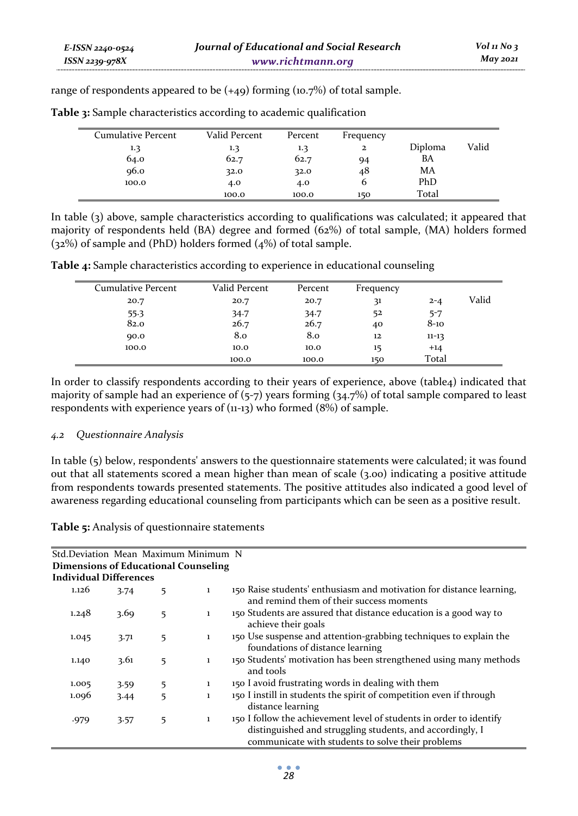range of respondents appeared to be  $(+49)$  forming  $(10.7%)$  of total sample.

| <b>Cumulative Percent</b> | Valid Percent | Percent | Frequency    |         |       |
|---------------------------|---------------|---------|--------------|---------|-------|
| 1.3                       | 1.3           | 1.3     | $\mathbf{z}$ | Diploma | Valid |
| 64.0                      | 62.7          | 62.7    | 94           | BA      |       |
| 96.0                      | 32.0          | 32.0    | 48           | MA      |       |
| 100.0                     | 4.0           | 4.0     | O            | PhD     |       |
|                           | 100.0         | 100.0   | 150          | Total   |       |

**Table 3:** Sample characteristics according to academic qualification

In table (3) above, sample characteristics according to qualifications was calculated; it appeared that majority of respondents held (BA) degree and formed (62%) of total sample, (MA) holders formed (32%) of sample and (PhD) holders formed (4%) of total sample.

**Table 4:** Sample characteristics according to experience in educational counseling

| <b>Cumulative Percent</b> | Valid Percent | Percent | Frequency |           |       |
|---------------------------|---------------|---------|-----------|-----------|-------|
| 20.7                      | 20.7          | 20.7    | 31        | $2 - 4$   | Valid |
| $55-3$                    | 34.7          | 34.7    | 52        | $5 - 7$   |       |
| 82.0                      | 26.7          | 26.7    | 40        | $8-10$    |       |
| 90.0                      | 8.0           | 8.0     | 12        | $11 - 13$ |       |
| 100.0                     | 10.0          | 10.0    | 15        | $+14$     |       |
|                           | 100.0         | 100.0   | 150       | Total     |       |

In order to classify respondents according to their years of experience, above (table4) indicated that majority of sample had an experience of (5-7) years forming (34.7%) of total sample compared to least respondents with experience years of (11-13) who formed (8%) of sample.

# *4.2 Questionnaire Analysis*

In table (5) below, respondents' answers to the questionnaire statements were calculated; it was found out that all statements scored a mean higher than mean of scale (3.00) indicating a positive attitude from respondents towards presented statements. The positive attitudes also indicated a good level of awareness regarding educational counseling from participants which can be seen as a positive result.

**Table 5:** Analysis of questionnaire statements

| Std.Deviation Mean Maximum Minimum N |      |   |              |                                                                                                                                                                                       |
|--------------------------------------|------|---|--------------|---------------------------------------------------------------------------------------------------------------------------------------------------------------------------------------|
| Dimensions of Educational Counseling |      |   |              |                                                                                                                                                                                       |
| <b>Individual Differences</b>        |      |   |              |                                                                                                                                                                                       |
| 1.126                                | 3.74 | 5 | $\mathbf{1}$ | 150 Raise students' enthusiasm and motivation for distance learning,<br>and remind them of their success moments                                                                      |
| 1.248                                | 3.69 | 5 | $\mathbf{1}$ | 150 Students are assured that distance education is a good way to<br>achieve their goals                                                                                              |
| 1.045                                | 3.71 | 5 | $\mathbf{1}$ | 150 Use suspense and attention-grabbing techniques to explain the<br>foundations of distance learning                                                                                 |
| 1.140                                | 3.61 | 5 | $\mathbf{1}$ | 150 Students' motivation has been strengthened using many methods<br>and tools                                                                                                        |
| 1.005                                | 3.59 | 5 | $\mathbf{1}$ | 150 I avoid frustrating words in dealing with them                                                                                                                                    |
| 1.096                                | 3.44 | 5 | $\mathbf{1}$ | 150 I instill in students the spirit of competition even if through<br>distance learning                                                                                              |
| .979                                 | 3.57 | 5 | $\mathbf{1}$ | 150 I follow the achievement level of students in order to identify<br>distinguished and struggling students, and accordingly, I<br>communicate with students to solve their problems |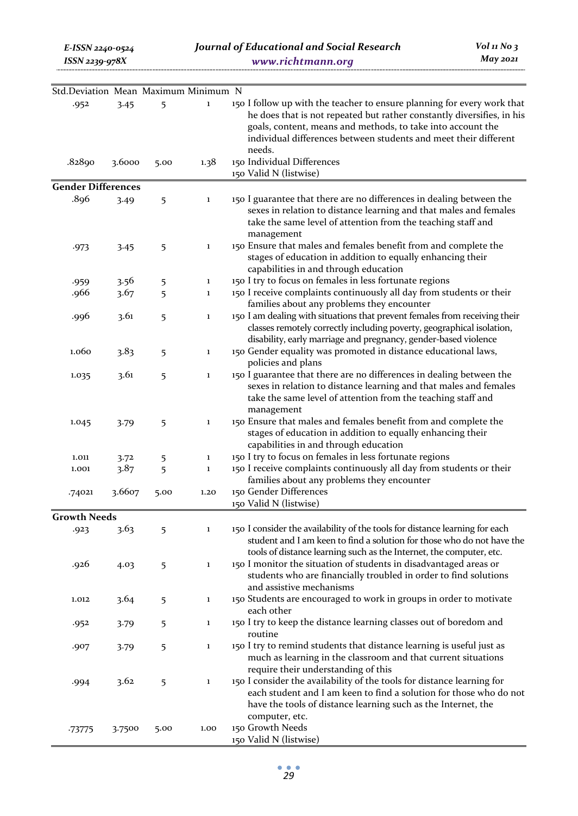| Std.Deviation Mean Maximum Minimum N |        |      |              |                                                                                                                                                                                                                                 |
|--------------------------------------|--------|------|--------------|---------------------------------------------------------------------------------------------------------------------------------------------------------------------------------------------------------------------------------|
| .952                                 | 3.45   | 5    | $\mathbf 1$  | 150 I follow up with the teacher to ensure planning for every work that<br>he does that is not repeated but rather constantly diversifies, in his                                                                               |
|                                      |        |      |              | goals, content, means and methods, to take into account the<br>individual differences between students and meet their different<br>needs.                                                                                       |
| .82890                               | 3.6000 | 5.00 | 1.38         | 150 Individual Differences<br>150 Valid N (listwise)                                                                                                                                                                            |
| <b>Gender Differences</b>            |        |      |              |                                                                                                                                                                                                                                 |
| .896                                 | 3.49   | 5    | $\mathbf 1$  | 150 I guarantee that there are no differences in dealing between the<br>sexes in relation to distance learning and that males and females<br>take the same level of attention from the teaching staff and<br>management         |
| .973                                 | 3.45   | 5    | $\mathbf 1$  | 150 Ensure that males and females benefit from and complete the<br>stages of education in addition to equally enhancing their<br>capabilities in and through education                                                          |
| .959                                 | 3.56   | 5    | $\mathbf 1$  | 150 I try to focus on females in less fortunate regions                                                                                                                                                                         |
| .966                                 | 3.67   | 5    | $\mathbf 1$  | 150 I receive complaints continuously all day from students or their<br>families about any problems they encounter                                                                                                              |
| .996                                 | 3.61   | 5    | $\mathbf 1$  | 150 I am dealing with situations that prevent females from receiving their<br>classes remotely correctly including poverty, geographical isolation,<br>disability, early marriage and pregnancy, gender-based violence          |
| 1.060                                | 3.83   | 5    | $\mathbf 1$  | 150 Gender equality was promoted in distance educational laws,<br>policies and plans                                                                                                                                            |
| 1.035                                | 3.61   | 5    | $\mathbf 1$  | 150 I guarantee that there are no differences in dealing between the<br>sexes in relation to distance learning and that males and females<br>take the same level of attention from the teaching staff and<br>management         |
| 1.045                                | 3.79   | 5    | $\mathbf 1$  | 150 Ensure that males and females benefit from and complete the<br>stages of education in addition to equally enhancing their<br>capabilities in and through education                                                          |
| 1.011                                | 3.72   | 5    | $\mathbf 1$  | 150 I try to focus on females in less fortunate regions                                                                                                                                                                         |
| 1.001                                | 3.87   | 5    | $\mathbf 1$  | 150 I receive complaints continuously all day from students or their<br>families about any problems they encounter                                                                                                              |
| .74021                               | 3.6607 | 5.00 | 1.20         | 150 Gender Differences<br>150 Valid N (listwise)                                                                                                                                                                                |
| <b>Growth Needs</b>                  |        |      |              |                                                                                                                                                                                                                                 |
| .923                                 | 3.63   | 5    | $\mathbf 1$  | 150 I consider the availability of the tools for distance learning for each<br>student and I am keen to find a solution for those who do not have the<br>tools of distance learning such as the Internet, the computer, etc.    |
| .926                                 | 4.03   | 5    | $\mathbf 1$  | 150 I monitor the situation of students in disadvantaged areas or<br>students who are financially troubled in order to find solutions<br>and assistive mechanisms                                                               |
| 1.012                                | 3.64   | 5    | $\mathbf{1}$ | 150 Students are encouraged to work in groups in order to motivate<br>each other                                                                                                                                                |
| .952                                 | 3.79   | 5    |              | 150 I try to keep the distance learning classes out of boredom and<br>routine                                                                                                                                                   |
| .907                                 | 3.79   | 5    | $\mathbf 1$  | 150 I try to remind students that distance learning is useful just as<br>much as learning in the classroom and that current situations<br>require their understanding of this                                                   |
| .994                                 | 3.62   | 5    | $\mathbf 1$  | 150 I consider the availability of the tools for distance learning for<br>each student and I am keen to find a solution for those who do not<br>have the tools of distance learning such as the Internet, the<br>computer, etc. |
| -73775                               | 3.7500 | 5.00 | 1.00         | 150 Growth Needs<br>150 Valid N (listwise)                                                                                                                                                                                      |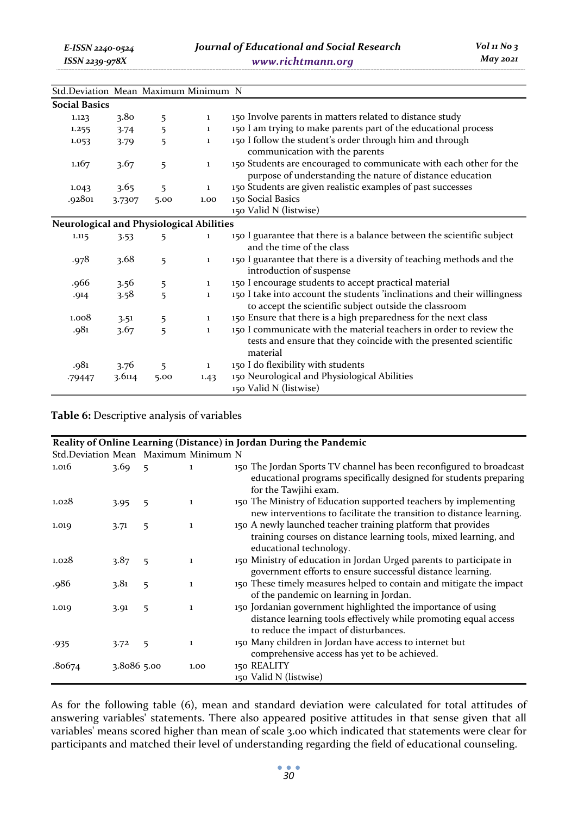| Std.Deviation Mean Maximum Minimum N            |        |      |              |                                                                                                                                                      |
|-------------------------------------------------|--------|------|--------------|------------------------------------------------------------------------------------------------------------------------------------------------------|
| <b>Social Basics</b>                            |        |      |              |                                                                                                                                                      |
| 1.123                                           | 3.80   | 5    | $\mathbf{1}$ | 150 Involve parents in matters related to distance study                                                                                             |
| 1.255                                           | 3.74   | 5    | $\mathbf{1}$ | 150 I am trying to make parents part of the educational process                                                                                      |
| 1.053                                           | 3.79   | 5    | $\mathbf{1}$ | 150 I follow the student's order through him and through<br>communication with the parents                                                           |
| 1.167                                           | 3.67   | 5    | $\mathbf{1}$ | 150 Students are encouraged to communicate with each other for the<br>purpose of understanding the nature of distance education                      |
| 1.043                                           | 3.65   | 5    | $\mathbf{1}$ | 150 Students are given realistic examples of past successes                                                                                          |
| .92801                                          | 3.7307 | 5.00 | 1.00         | 150 Social Basics                                                                                                                                    |
|                                                 |        |      |              | 150 Valid N (listwise)                                                                                                                               |
| <b>Neurological and Physiological Abilities</b> |        |      |              |                                                                                                                                                      |
| 1.115                                           | 3.53   | 5    | $\mathbf{1}$ | 150 I guarantee that there is a balance between the scientific subject<br>and the time of the class                                                  |
| .978                                            | 3.68   | 5    | $\mathbf{1}$ | 150 I guarantee that there is a diversity of teaching methods and the<br>introduction of suspense                                                    |
| .966                                            | 3.56   | 5    | $\mathbf{1}$ | 150 I encourage students to accept practical material                                                                                                |
| .914                                            | 3.58   | 5    | 1            | 150 I take into account the students 'inclinations and their willingness<br>to accept the scientific subject outside the classroom                   |
| 1.008                                           | 3.51   | 5    | $\mathbf{1}$ | 150 Ensure that there is a high preparedness for the next class                                                                                      |
| .981                                            | 3.67   | 5    | $\mathbf{1}$ | 150 I communicate with the material teachers in order to review the<br>tests and ensure that they coincide with the presented scientific<br>material |
| .981                                            | 3.76   | 5    | 1            | 150 I do flexibility with students                                                                                                                   |
| -79447                                          | 3.6114 | 5.00 | 1.43         | 150 Neurological and Physiological Abilities<br>150 Valid N (listwise)                                                                               |

**Table 6:** Descriptive analysis of variables

|                                      | Reality of Online Learning (Distance) in Jordan During the Pandemic |   |              |                                                                                                                                                                           |  |  |  |  |  |
|--------------------------------------|---------------------------------------------------------------------|---|--------------|---------------------------------------------------------------------------------------------------------------------------------------------------------------------------|--|--|--|--|--|
| Std.Deviation Mean Maximum Minimum N |                                                                     |   |              |                                                                                                                                                                           |  |  |  |  |  |
| 1.016                                | 3.69                                                                | 5 | 1            | 150 The Jordan Sports TV channel has been reconfigured to broadcast<br>educational programs specifically designed for students preparing<br>for the Tawjihi exam.         |  |  |  |  |  |
| 1.028                                | 3.95                                                                | 5 | $\mathbf{1}$ | 150 The Ministry of Education supported teachers by implementing<br>new interventions to facilitate the transition to distance learning.                                  |  |  |  |  |  |
| 1.019                                | 3.71                                                                | 5 | 1            | 150 A newly launched teacher training platform that provides<br>training courses on distance learning tools, mixed learning, and<br>educational technology.               |  |  |  |  |  |
| 1.028                                | 3.87                                                                | 5 | 1            | 150 Ministry of education in Jordan Urged parents to participate in<br>government efforts to ensure successful distance learning.                                         |  |  |  |  |  |
| .986                                 | 3.81                                                                | 5 | 1            | 150 These timely measures helped to contain and mitigate the impact<br>of the pandemic on learning in Jordan.                                                             |  |  |  |  |  |
| 1.019                                | 3.91                                                                | 5 | 1            | 150 Jordanian government highlighted the importance of using<br>distance learning tools effectively while promoting equal access<br>to reduce the impact of disturbances. |  |  |  |  |  |
| .935                                 | 3.72                                                                | 5 | 1            | 150 Many children in Jordan have access to internet but<br>comprehensive access has yet to be achieved.                                                                   |  |  |  |  |  |
| .80674                               | 3.8086 5.00                                                         |   | 1.00         | 150 REALITY<br>150 Valid N (listwise)                                                                                                                                     |  |  |  |  |  |

As for the following table (6), mean and standard deviation were calculated for total attitudes of answering variables' statements. There also appeared positive attitudes in that sense given that all variables' means scored higher than mean of scale 3.00 which indicated that statements were clear for participants and matched their level of understanding regarding the field of educational counseling.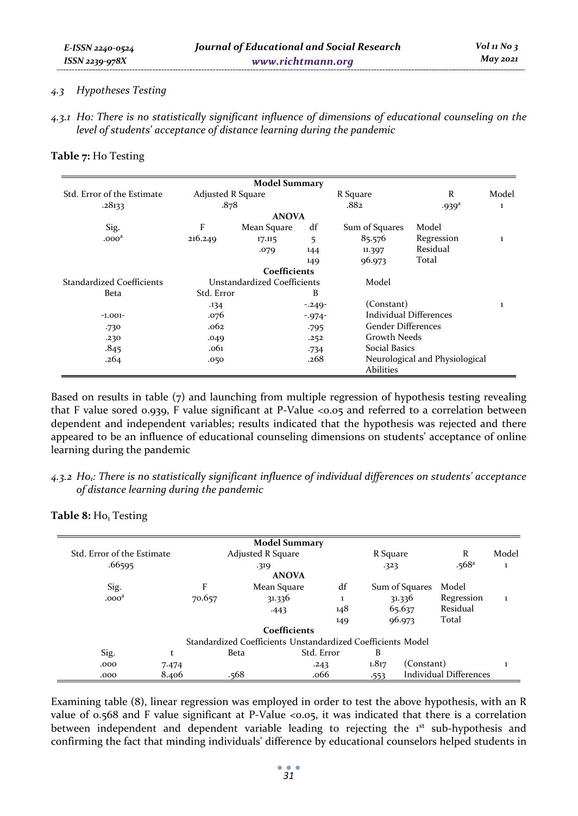### *4.3 Hypotheses Testing*

*E-ISSN 2240-0524 ISSN 2239-978X*

*4.3.1 H0: There is no statistically significant influence of dimensions of educational counseling on the level of students' acceptance of distance learning during the pandemic* 

**Table 7:** Ho Testing

|                            |                   | <b>Model Summary</b>        |           |                           |                                |       |
|----------------------------|-------------------|-----------------------------|-----------|---------------------------|--------------------------------|-------|
| Std. Error of the Estimate | Adjusted R Square |                             |           | R Square                  | R                              | Model |
| .28133                     | .878              |                             |           | .882                      | .939 <sup>a</sup>              | 1     |
|                            |                   | <b>ANOVA</b>                |           |                           |                                |       |
| Sig.                       | F                 | Mean Square                 | df        | Sum of Squares            | Model                          |       |
| .000 <sup>d</sup>          | 216.249           | 17.115                      | 5         | 85.576                    | Regression                     | 1     |
|                            |                   | .079                        | 144       | 11.397                    | Residual                       |       |
|                            |                   |                             | 149       | 96.973                    | Total                          |       |
|                            |                   | Coefficients                |           |                           |                                |       |
| Standardized Coefficients  |                   | Unstandardized Coefficients |           | Model                     |                                |       |
| Beta                       | Std. Error        |                             | B         |                           |                                |       |
|                            | .134              |                             | $-.249-$  | (Constant)                |                                | ı     |
| $-1.001-$                  | .076              |                             | $-0.974-$ | Individual Differences    |                                |       |
| .730                       | .062              |                             | $-795$    | <b>Gender Differences</b> |                                |       |
| .230                       | .049              |                             | .252      | Growth Needs              |                                |       |
| .845                       | .061              |                             | -734      | <b>Social Basics</b>      |                                |       |
| .264                       | .050              |                             | .268      | Abilities                 | Neurological and Physiological |       |

Based on results in table (7) and launching from multiple regression of hypothesis testing revealing that F value sored 0.939, F value significant at P-Value <0.05 and referred to a correlation between dependent and independent variables; results indicated that the hypothesis was rejected and there appeared to be an influence of educational counseling dimensions on students' acceptance of online learning during the pandemic

*4.3.2 H01: There is no statistically significant influence of individual differences on students' acceptance of distance learning during the pandemic* 

Table 8: Ho<sub>1</sub> Testing

|                            |        | <b>Model Summary</b>                                        |            |          |                |                        |       |
|----------------------------|--------|-------------------------------------------------------------|------------|----------|----------------|------------------------|-------|
| Std. Error of the Estimate |        | <b>Adjusted R Square</b>                                    |            | R Square |                | R                      | Model |
| .66595                     |        | .319                                                        |            | $-323$   |                | .568a                  | ı     |
|                            |        | <b>ANOVA</b>                                                |            |          |                |                        |       |
| Sig.                       | F      | Mean Square                                                 | df         |          | Sum of Squares | Model                  |       |
| .000 <sup>d</sup>          | 70.657 | 31.336                                                      |            |          | 31.336         | Regression             |       |
|                            |        | $-443$                                                      | 148        |          | 65.637         | Residual               |       |
|                            |        |                                                             | 149        |          | 96.973         | Total                  |       |
|                            |        | Coefficients                                                |            |          |                |                        |       |
|                            |        | Standardized Coefficients Unstandardized Coefficients Model |            |          |                |                        |       |
| Sig.                       | t      | Beta                                                        | Std. Error | B        |                |                        |       |
| .000                       | 7.474  |                                                             | .243       | 1.817    | (Constant)     |                        |       |
| .000                       | 8.406  | .568                                                        | .066       | .553     |                | Individual Differences |       |

Examining table (8), linear regression was employed in order to test the above hypothesis, with an R value of 0.568 and F value significant at P-Value <0.05, it was indicated that there is a correlation between independent and dependent variable leading to rejecting the  $1<sup>st</sup>$  sub-hypothesis and confirming the fact that minding individuals' difference by educational counselors helped students in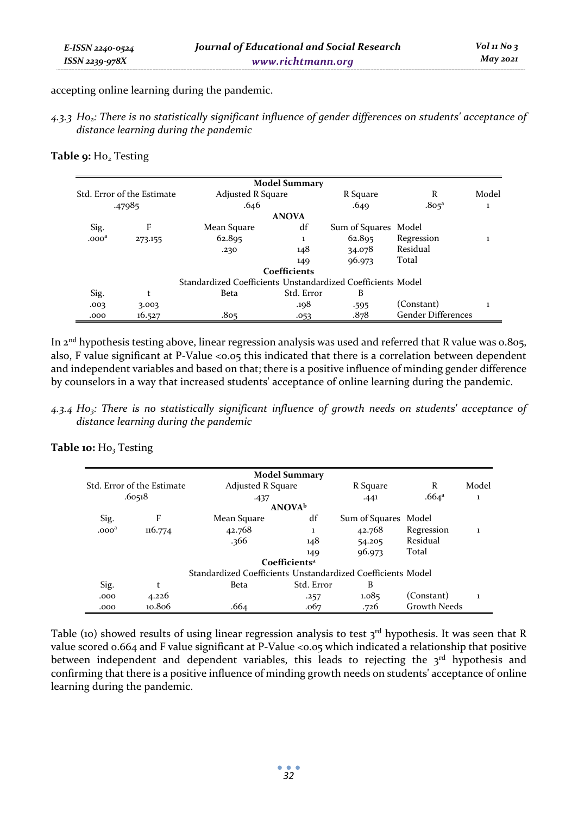accepting online learning during the pandemic.

*4.3.3 H02: There is no statistically significant influence of gender differences on students' acceptance of distance learning during the pandemic* 

# Table 9: Ho<sub>2</sub> Testing

|                            |         |                                                             | <b>Model Summary</b> |                      |                           |       |
|----------------------------|---------|-------------------------------------------------------------|----------------------|----------------------|---------------------------|-------|
| Std. Error of the Estimate |         | Adjusted R Square                                           |                      | R Square             | R                         | Model |
|                            | .47985  | .646                                                        |                      | .649                 | .805 <sup>a</sup>         | 1     |
|                            |         |                                                             | <b>ANOVA</b>         |                      |                           |       |
| Sig.                       | F       | Mean Square                                                 | df                   | Sum of Squares Model |                           |       |
| .000 <sup>a</sup>          | 273.155 | 62.895                                                      | ı                    | 62.895               | Regression                |       |
|                            |         | .230                                                        | 148                  | 34.078               | Residual                  |       |
|                            |         |                                                             | 149                  | 96.973               | Total                     |       |
|                            |         |                                                             | Coefficients         |                      |                           |       |
|                            |         | Standardized Coefficients Unstandardized Coefficients Model |                      |                      |                           |       |
| Sig.                       | t       | Beta                                                        | Std. Error           | B                    |                           |       |
| .003                       | 3.003   |                                                             | .198                 | .595                 | (Constant)                |       |
| .000                       | 16.527  | .805                                                        | .053                 | .878                 | <b>Gender Differences</b> |       |

In 2<sup>nd</sup> hypothesis testing above, linear regression analysis was used and referred that R value was 0.805, also, F value significant at P-Value <0.05 this indicated that there is a correlation between dependent and independent variables and based on that; there is a positive influence of minding gender difference by counselors in a way that increased students' acceptance of online learning during the pandemic.

*4.3.4 H03: There is no statistically significant influence of growth needs on students' acceptance of distance learning during the pandemic* 

| Table 10: Ho <sub>3</sub> Testing |  |  |
|-----------------------------------|--|--|
|-----------------------------------|--|--|

|                   |                            |                                                             | <b>Model Summary</b>      |                |                     |       |
|-------------------|----------------------------|-------------------------------------------------------------|---------------------------|----------------|---------------------|-------|
|                   | Std. Error of the Estimate | <b>Adjusted R Square</b>                                    |                           | R Square       | R                   | Model |
|                   | .60518                     | $-437$                                                      |                           | .441           | .664 <sup>a</sup>   | 1     |
|                   |                            | <b>ANOVA</b> <sup>b</sup>                                   |                           |                |                     |       |
| Sig.              | F                          | Mean Square                                                 | df                        | Sum of Squares | Model               |       |
| .000 <sup>a</sup> | 116.774                    | 42.768                                                      | I.                        | 42.768         | Regression          |       |
|                   |                            | .366                                                        | 148                       | 54.205         | Residual            |       |
|                   |                            |                                                             | 149                       | 96.973         | Total               |       |
|                   |                            |                                                             | Coefficients <sup>a</sup> |                |                     |       |
|                   |                            | Standardized Coefficients Unstandardized Coefficients Model |                           |                |                     |       |
| Sig.              | t                          | Beta                                                        | Std. Error                | B              |                     |       |
| .000              | 4.226                      |                                                             | .257                      | 1.085          | (Constant)          | ı     |
| .000              | 10.806                     | .664                                                        | .067                      | .726           | <b>Growth Needs</b> |       |

Table (10) showed results of using linear regression analysis to test 3rd hypothesis. It was seen that R value scored 0.664 and F value significant at P-Value <0.05 which indicated a relationship that positive between independent and dependent variables, this leads to rejecting the  $3<sup>rd</sup>$  hypothesis and confirming that there is a positive influence of minding growth needs on students' acceptance of online learning during the pandemic.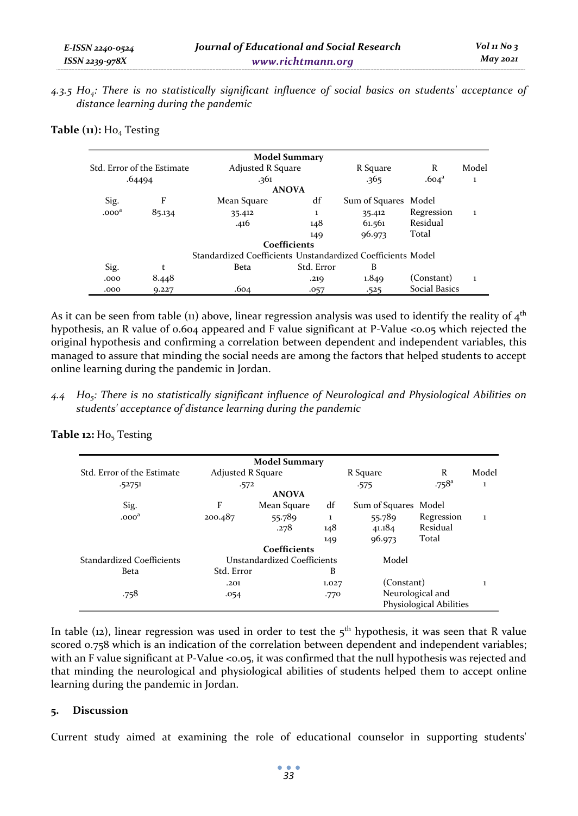*4.3.5 H04: There is no statistically significant influence of social basics on students' acceptance of distance learning during the pandemic* 

|  |  |  | Table (11): Ho <sub>4</sub> Testing |
|--|--|--|-------------------------------------|
|--|--|--|-------------------------------------|

|                   |                            | <b>Model Summary</b>                                        |            |                |                   |       |
|-------------------|----------------------------|-------------------------------------------------------------|------------|----------------|-------------------|-------|
|                   | Std. Error of the Estimate | Adjusted R Square                                           |            | R Square       | R                 | Model |
|                   | .64494                     | .361                                                        |            | .365           | .604 <sup>a</sup> | 1     |
|                   |                            | <b>ANOVA</b>                                                |            |                |                   |       |
| Sig.              | F                          | Mean Square                                                 | df         | Sum of Squares | Model             |       |
| .000 <sup>a</sup> | 85.134                     | 35.412                                                      | 1          | 35.412         | Regression        | 1     |
|                   |                            | .416                                                        | 148        | 61.561         | Residual          |       |
|                   |                            |                                                             | 149        | 96.973         | Total             |       |
|                   |                            | Coefficients                                                |            |                |                   |       |
|                   |                            | Standardized Coefficients Unstandardized Coefficients Model |            |                |                   |       |
| Sig.              | t                          | Beta                                                        | Std. Error | B              |                   |       |
| .000              | 8.448                      |                                                             | .219       | 1.849          | (Constant)        | ı     |
| .000              | 9.227                      | .604                                                        | .057       | .525           | Social Basics     |       |

As it can be seen from table (11) above, linear regression analysis was used to identify the reality of  $4<sup>th</sup>$ hypothesis, an R value of 0.604 appeared and F value significant at P-Value <0.05 which rejected the original hypothesis and confirming a correlation between dependent and independent variables, this managed to assure that minding the social needs are among the factors that helped students to accept online learning during the pandemic in Jordan.

*4.4 H05: There is no statistically significant influence of Neurological and Physiological Abilities on students' acceptance of distance learning during the pandemic* 

|                            |                             | <b>Model Summary</b> |       |                |                         |       |
|----------------------------|-----------------------------|----------------------|-------|----------------|-------------------------|-------|
| Std. Error of the Estimate | <b>Adjusted R Square</b>    |                      |       | R Square       | R                       | Model |
| .52751                     | .572                        |                      |       | $-575$         | $.758$ <sup>a</sup>     | 1     |
|                            |                             | <b>ANOVA</b>         |       |                |                         |       |
| Sig.                       | F                           | Mean Square          | df    | Sum of Squares | Model                   |       |
| .000 <sup>a</sup>          | 200.487                     | 55.789               | 1     | 55.789         | Regression              | I.    |
|                            |                             | .278                 | 148   | 41.184         | Residual                |       |
|                            |                             |                      | 149   | 96.973         | Total                   |       |
|                            |                             | Coefficients         |       |                |                         |       |
| Standardized Coefficients  | Unstandardized Coefficients |                      | Model |                |                         |       |
| Beta                       | Std. Error                  |                      | B     |                |                         |       |
|                            | .201                        |                      | 1.027 | (Constant)     |                         |       |
| .758                       | .054                        |                      | .770  |                | Neurological and        |       |
|                            |                             |                      |       |                | Physiological Abilities |       |
|                            |                             |                      |       |                |                         |       |

Table 12: Ho<sub>5</sub> Testing

In table (12), linear regression was used in order to test the  $5<sup>th</sup>$  hypothesis, it was seen that R value scored 0.758 which is an indication of the correlation between dependent and independent variables; with an F value significant at P-Value <0.05, it was confirmed that the null hypothesis was rejected and that minding the neurological and physiological abilities of students helped them to accept online learning during the pandemic in Jordan.

# **5. Discussion**

Current study aimed at examining the role of educational counselor in supporting students'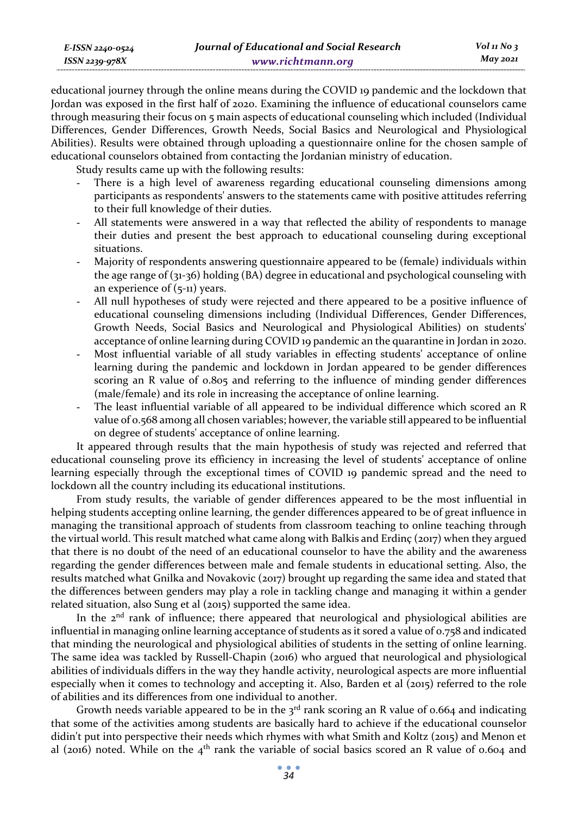| E-ISSN 2240-0524 | Journal of Educational and Social Research | $Vol$ 11 No 3 |
|------------------|--------------------------------------------|---------------|
| ISSN 2239-978X   | www.richtmann.org                          | May 2021      |

educational journey through the online means during the COVID 19 pandemic and the lockdown that Jordan was exposed in the first half of 2020. Examining the influence of educational counselors came through measuring their focus on 5 main aspects of educational counseling which included (Individual Differences, Gender Differences, Growth Needs, Social Basics and Neurological and Physiological Abilities). Results were obtained through uploading a questionnaire online for the chosen sample of educational counselors obtained from contacting the Jordanian ministry of education.

Study results came up with the following results:

- There is a high level of awareness regarding educational counseling dimensions among participants as respondents' answers to the statements came with positive attitudes referring to their full knowledge of their duties.
- All statements were answered in a way that reflected the ability of respondents to manage their duties and present the best approach to educational counseling during exceptional situations.
- Majority of respondents answering questionnaire appeared to be (female) individuals within the age range of (31-36) holding (BA) degree in educational and psychological counseling with an experience of (5-11) years.
- All null hypotheses of study were rejected and there appeared to be a positive influence of educational counseling dimensions including (Individual Differences, Gender Differences, Growth Needs, Social Basics and Neurological and Physiological Abilities) on students' acceptance of online learning during COVID 19 pandemic an the quarantine in Jordan in 2020.
- Most influential variable of all study variables in effecting students' acceptance of online learning during the pandemic and lockdown in Jordan appeared to be gender differences scoring an R value of 0.805 and referring to the influence of minding gender differences (male/female) and its role in increasing the acceptance of online learning.
- The least influential variable of all appeared to be individual difference which scored an R value of 0.568 among all chosen variables; however, the variable still appeared to be influential on degree of students' acceptance of online learning.

It appeared through results that the main hypothesis of study was rejected and referred that educational counseling prove its efficiency in increasing the level of students' acceptance of online learning especially through the exceptional times of COVID 19 pandemic spread and the need to lockdown all the country including its educational institutions.

From study results, the variable of gender differences appeared to be the most influential in helping students accepting online learning, the gender differences appeared to be of great influence in managing the transitional approach of students from classroom teaching to online teaching through the virtual world. This result matched what came along with Balkis and Erdinç (2017) when they argued that there is no doubt of the need of an educational counselor to have the ability and the awareness regarding the gender differences between male and female students in educational setting. Also, the results matched what Gnilka and Novakovic (2017) brought up regarding the same idea and stated that the differences between genders may play a role in tackling change and managing it within a gender related situation, also Sung et al (2015) supported the same idea.

In the  $2<sup>nd</sup>$  rank of influence; there appeared that neurological and physiological abilities are influential in managing online learning acceptance of students as it sored a value of 0.758 and indicated that minding the neurological and physiological abilities of students in the setting of online learning. The same idea was tackled by Russell-Chapin (2016) who argued that neurological and physiological abilities of individuals differs in the way they handle activity, neurological aspects are more influential especially when it comes to technology and accepting it. Also, Barden et al (2015) referred to the role of abilities and its differences from one individual to another.

Growth needs variable appeared to be in the  $3<sup>rd</sup>$  rank scoring an R value of 0.664 and indicating that some of the activities among students are basically hard to achieve if the educational counselor didin't put into perspective their needs which rhymes with what Smith and Koltz (2015) and Menon et al (2016) noted. While on the  $4<sup>th</sup>$  rank the variable of social basics scored an R value of 0.604 and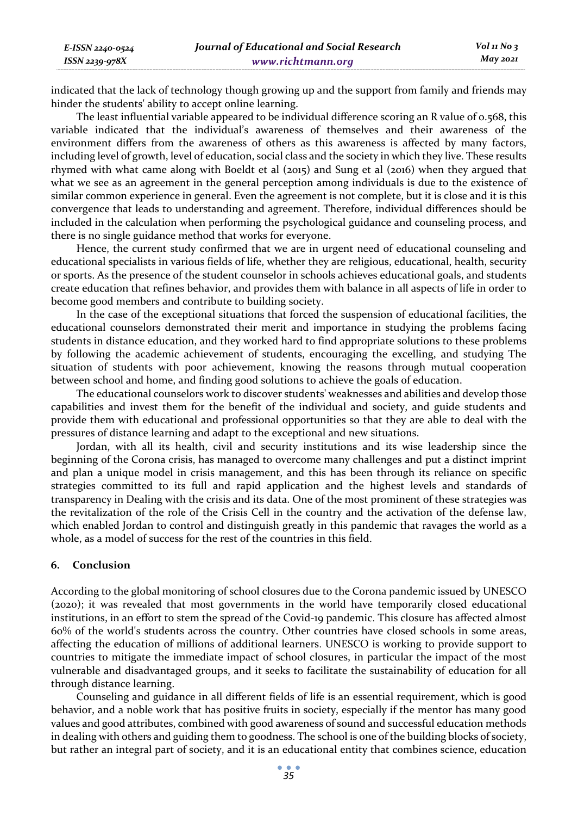indicated that the lack of technology though growing up and the support from family and friends may hinder the students' ability to accept online learning.

The least influential variable appeared to be individual difference scoring an R value of 0.568, this variable indicated that the individual's awareness of themselves and their awareness of the environment differs from the awareness of others as this awareness is affected by many factors, including level of growth, level of education, social class and the society in which they live. These results rhymed with what came along with Boeldt et al (2015) and Sung et al (2016) when they argued that what we see as an agreement in the general perception among individuals is due to the existence of similar common experience in general. Even the agreement is not complete, but it is close and it is this convergence that leads to understanding and agreement. Therefore, individual differences should be included in the calculation when performing the psychological guidance and counseling process, and there is no single guidance method that works for everyone.

Hence, the current study confirmed that we are in urgent need of educational counseling and educational specialists in various fields of life, whether they are religious, educational, health, security or sports. As the presence of the student counselor in schools achieves educational goals, and students create education that refines behavior, and provides them with balance in all aspects of life in order to become good members and contribute to building society.

In the case of the exceptional situations that forced the suspension of educational facilities, the educational counselors demonstrated their merit and importance in studying the problems facing students in distance education, and they worked hard to find appropriate solutions to these problems by following the academic achievement of students, encouraging the excelling, and studying The situation of students with poor achievement, knowing the reasons through mutual cooperation between school and home, and finding good solutions to achieve the goals of education.

The educational counselors work to discover students' weaknesses and abilities and develop those capabilities and invest them for the benefit of the individual and society, and guide students and provide them with educational and professional opportunities so that they are able to deal with the pressures of distance learning and adapt to the exceptional and new situations.

Jordan, with all its health, civil and security institutions and its wise leadership since the beginning of the Corona crisis, has managed to overcome many challenges and put a distinct imprint and plan a unique model in crisis management, and this has been through its reliance on specific strategies committed to its full and rapid application and the highest levels and standards of transparency in Dealing with the crisis and its data. One of the most prominent of these strategies was the revitalization of the role of the Crisis Cell in the country and the activation of the defense law, which enabled Jordan to control and distinguish greatly in this pandemic that ravages the world as a whole, as a model of success for the rest of the countries in this field.

# **6. Conclusion**

According to the global monitoring of school closures due to the Corona pandemic issued by UNESCO (2020); it was revealed that most governments in the world have temporarily closed educational institutions, in an effort to stem the spread of the Covid-19 pandemic. This closure has affected almost 60% of the world's students across the country. Other countries have closed schools in some areas, affecting the education of millions of additional learners. UNESCO is working to provide support to countries to mitigate the immediate impact of school closures, in particular the impact of the most vulnerable and disadvantaged groups, and it seeks to facilitate the sustainability of education for all through distance learning.

Counseling and guidance in all different fields of life is an essential requirement, which is good behavior, and a noble work that has positive fruits in society, especially if the mentor has many good values and good attributes, combined with good awareness of sound and successful education methods in dealing with others and guiding them to goodness. The school is one of the building blocks of society, but rather an integral part of society, and it is an educational entity that combines science, education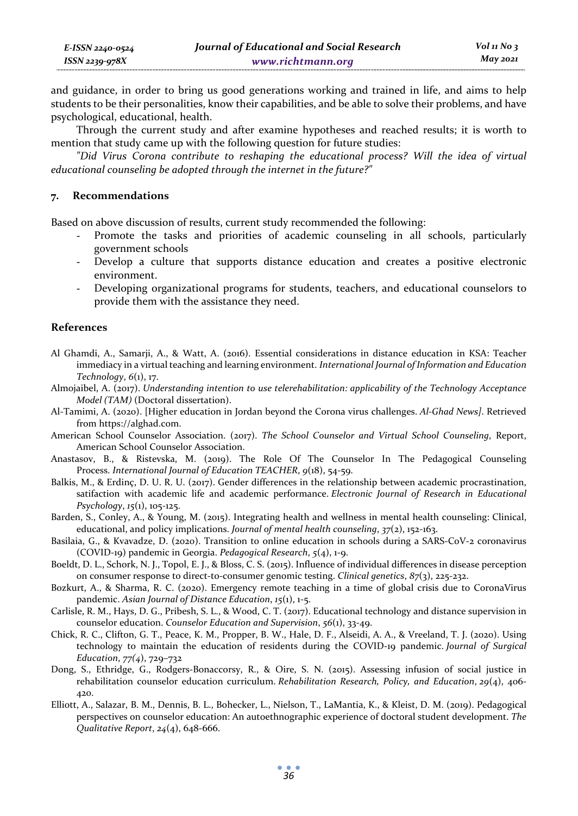and guidance, in order to bring us good generations working and trained in life, and aims to help students to be their personalities, know their capabilities, and be able to solve their problems, and have psychological, educational, health.

Through the current study and after examine hypotheses and reached results; it is worth to mention that study came up with the following question for future studies:

*"Did Virus Corona contribute to reshaping the educational process? Will the idea of virtual educational counseling be adopted through the internet in the future?"* 

### **7. Recommendations**

Based on above discussion of results, current study recommended the following:

- Promote the tasks and priorities of academic counseling in all schools, particularly government schools
- Develop a culture that supports distance education and creates a positive electronic environment.
- Developing organizational programs for students, teachers, and educational counselors to provide them with the assistance they need.

### **References**

- Al Ghamdi, A., Samarji, A., & Watt, A. (2016). Essential considerations in distance education in KSA: Teacher immediacy in a virtual teaching and learning environment. *International Journal of Information and Education Technology*, *6*(1), 17.
- Almojaibel, A. (2017). *Understanding intention to use telerehabilitation: applicability of the Technology Acceptance Model (TAM)* (Doctoral dissertation).
- Al-Tamimi, A. (2020). [Higher education in Jordan beyond the Corona virus challenges. *Al-Ghad News]*. Retrieved from https://alghad.com.
- American School Counselor Association. (2017). *The School Counselor and Virtual School Counseling*, Report, American School Counselor Association.
- Anastasov, B., & Ristevska, M. (2019). The Role Of The Counselor In The Pedagogical Counseling Process. *International Journal of Education TEACHER*, *9*(18), 54-59.
- Balkis, M., & Erdinç, D. U. R. U. (2017). Gender differences in the relationship between academic procrastination, satifaction with academic life and academic performance. *Electronic Journal of Research in Educational Psychology*, *15*(1), 105-125.
- Barden, S., Conley, A., & Young, M. (2015). Integrating health and wellness in mental health counseling: Clinical, educational, and policy implications. *Journal of mental health counseling*, *37*(2), 152-163.
- Basilaia, G., & Kvavadze, D. (2020). Transition to online education in schools during a SARS-CoV-2 coronavirus (COVID-19) pandemic in Georgia. *Pedagogical Research*, *5*(4), 1-9.
- Boeldt, D. L., Schork, N. J., Topol, E. J., & Bloss, C. S. (2015). Influence of individual differences in disease perception on consumer response to direct-to-consumer genomic testing. *Clinical genetics*, *87*(3), 225-232.
- Bozkurt, A., & Sharma, R. C. (2020). Emergency remote teaching in a time of global crisis due to CoronaVirus pandemic. *Asian Journal of Distance Education*, *15*(1), 1-5.
- Carlisle, R. M., Hays, D. G., Pribesh, S. L., & Wood, C. T. (2017). Educational technology and distance supervision in counselor education. *Counselor Education and Supervision*, *56*(1), 33-49.
- Chick, R. C., Clifton, G. T., Peace, K. M., Propper, B. W., Hale, D. F., Alseidi, A. A., & Vreeland, T. J. (2020). Using technology to maintain the education of residents during the COVID-19 pandemic. *Journal of Surgical Education*, *77(4*), 729–732
- Dong, S., Ethridge, G., Rodgers-Bonaccorsy, R., & Oire, S. N. (2015). Assessing infusion of social justice in rehabilitation counselor education curriculum. *Rehabilitation Research, Policy, and Education*, *29*(4), 406- 420.
- Elliott, A., Salazar, B. M., Dennis, B. L., Bohecker, L., Nielson, T., LaMantia, K., & Kleist, D. M. (2019). Pedagogical perspectives on counselor education: An autoethnographic experience of doctoral student development. *The Qualitative Report*, *24*(4), 648-666.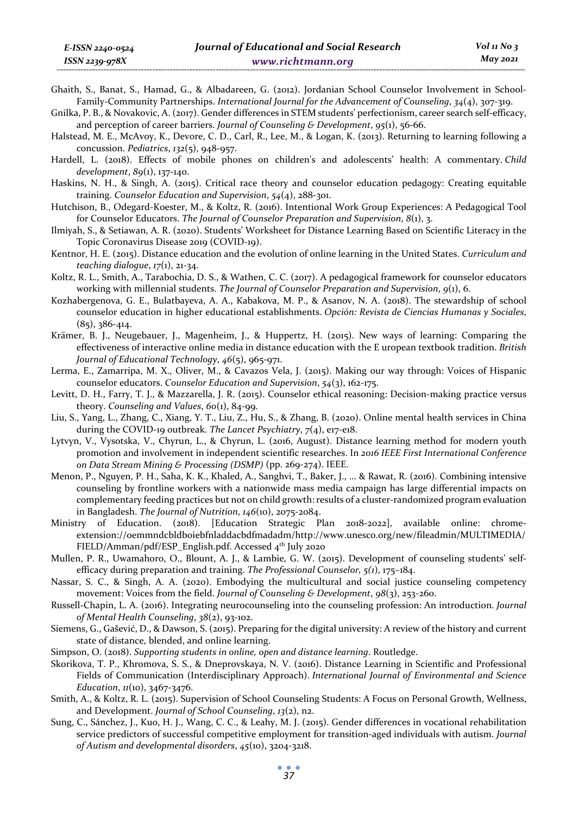Ghaith, S., Banat, S., Hamad, G., & Albadareen, G. (2012). Jordanian School Counselor Involvement in School-Family-Community Partnerships. *International Journal for the Advancement of Counseling*, *34*(4), 307-319.

Gnilka, P. B., & Novakovic, A. (2017). Gender differences in STEM students' perfectionism, career search self-efficacy, and perception of career barriers. *Journal of Counseling & Development*, *95*(1), 56-66.

- Halstead, M. E., McAvoy, K., Devore, C. D., Carl, R., Lee, M., & Logan, K. (2013). Returning to learning following a concussion. *Pediatrics*, *132*(5), 948-957.
- Hardell, L. (2018). Effects of mobile phones on children's and adolescents' health: A commentary. *Child development*, *89*(1), 137-140.
- Haskins, N. H., & Singh, A. (2015). Critical race theory and counselor education pedagogy: Creating equitable training. *Counselor Education and Supervision*, *54*(4), 288-301.
- Hutchison, B., Odegard-Koester, M., & Koltz, R. (2016). Intentional Work Group Experiences: A Pedagogical Tool for Counselor Educators. *The Journal of Counselor Preparation and Supervision*, *8*(1), 3.
- Ilmiyah, S., & Setiawan, A. R. (2020). Students' Worksheet for Distance Learning Based on Scientific Literacy in the Topic Coronavirus Disease 2019 (COVID-19).
- Kentnor, H. E. (2015). Distance education and the evolution of online learning in the United States. *Curriculum and teaching dialogue*, *17*(1), 21-34.
- Koltz, R. L., Smith, A., Tarabochia, D. S., & Wathen, C. C. (2017). A pedagogical framework for counselor educators working with millennial students. *The Journal of Counselor Preparation and Supervision*, *9*(1), 6.
- Kozhabergenova, G. E., Bulatbayeva, A. A., Kabakova, M. P., & Asanov, N. A. (2018). The stewardship of school counselor education in higher educational establishments. *Opción: Revista de Ciencias Humanas y Sociales*, (85), 386-414.
- Krämer, B. J., Neugebauer, J., Magenheim, J., & Huppertz, H. (2015). New ways of learning: Comparing the effectiveness of interactive online media in distance education with the E uropean textbook tradition. *British Journal of Educational Technology*, *46*(5), 965-971.
- Lerma, E., Zamarripa, M. X., Oliver, M., & Cavazos Vela, J. (2015). Making our way through: Voices of Hispanic counselor educators. *Counselor Education and Supervision*, *54*(3), 162-175.
- Levitt, D. H., Farry, T. J., & Mazzarella, J. R. (2015). Counselor ethical reasoning: Decision-making practice versus theory. *Counseling and Values*, *60*(1), 84-99.
- Liu, S., Yang, L., Zhang, C., Xiang, Y. T., Liu, Z., Hu, S., & Zhang, B. (2020). Online mental health services in China during the COVID-19 outbreak. *The Lancet Psychiatry*, *7*(4), e17-e18.
- Lytvyn, V., Vysotska, V., Chyrun, L., & Chyrun, L. (2016, August). Distance learning method for modern youth promotion and involvement in independent scientific researches. In *2016 IEEE First International Conference on Data Stream Mining & Processing (DSMP)* (pp. 269-274). IEEE.
- Menon, P., Nguyen, P. H., Saha, K. K., Khaled, A., Sanghvi, T., Baker, J., ... & Rawat, R. (2016). Combining intensive counseling by frontline workers with a nationwide mass media campaign has large differential impacts on complementary feeding practices but not on child growth: results of a cluster-randomized program evaluation in Bangladesh. *The Journal of Nutrition*, *146*(10), 2075-2084.
- Ministry of Education. (2018). [Education Strategic Plan 2018-2022], available online: chromeextension://oemmndcbldboiebfnladdacbdfmadadm/http://www.unesco.org/new/fileadmin/MULTIMEDIA/ FIELD/Amman/pdf/ESP\_English.pdf. Accessed 4<sup>th</sup> July 2020
- Mullen, P. R., Uwamahoro, O., Blount, A. J., & Lambie, G. W. (2015). Development of counseling students' selfefficacy during preparation and training. *The Professional Counselor, 5(1*), 175–184.
- Nassar, S. C., & Singh, A. A. (2020). Embodying the multicultural and social justice counseling competency movement: Voices from the field. *Journal of Counseling & Development*, *98*(3), 253-260.
- Russell-Chapin, L. A. (2016). Integrating neurocounseling into the counseling profession: An introduction. *Journal of Mental Health Counseling*, *38*(2), 93-102.
- Siemens, G., Gašević, D., & Dawson, S. (2015). Preparing for the digital university: A review of the history and current state of distance, blended, and online learning.
- Simpson, O. (2018). *Supporting students in online, open and distance learning*. Routledge.
- Skorikova, T. P., Khromova, S. S., & Dneprovskaya, N. V. (2016). Distance Learning in Scientific and Professional Fields of Communication (Interdisciplinary Approach). *International Journal of Environmental and Science Education*, *11*(10), 3467-3476.
- Smith, A., & Koltz, R. L. (2015). Supervision of School Counseling Students: A Focus on Personal Growth, Wellness, and Development. *Journal of School Counseling*, *13*(2), n2.
- Sung, C., Sánchez, J., Kuo, H. J., Wang, C. C., & Leahy, M. J. (2015). Gender differences in vocational rehabilitation service predictors of successful competitive employment for transition-aged individuals with autism. *Journal of Autism and developmental disorders*, *45*(10), 3204-3218.